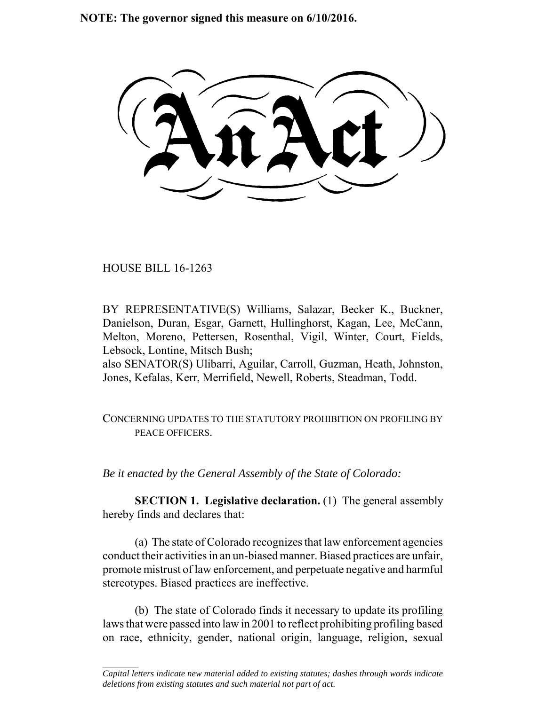**NOTE: The governor signed this measure on 6/10/2016.**

HOUSE BILL 16-1263

 $\frac{1}{2}$ 

BY REPRESENTATIVE(S) Williams, Salazar, Becker K., Buckner, Danielson, Duran, Esgar, Garnett, Hullinghorst, Kagan, Lee, McCann, Melton, Moreno, Pettersen, Rosenthal, Vigil, Winter, Court, Fields, Lebsock, Lontine, Mitsch Bush;

also SENATOR(S) Ulibarri, Aguilar, Carroll, Guzman, Heath, Johnston, Jones, Kefalas, Kerr, Merrifield, Newell, Roberts, Steadman, Todd.

CONCERNING UPDATES TO THE STATUTORY PROHIBITION ON PROFILING BY PEACE OFFICERS.

*Be it enacted by the General Assembly of the State of Colorado:*

**SECTION 1. Legislative declaration.** (1) The general assembly hereby finds and declares that:

(a) The state of Colorado recognizes that law enforcement agencies conduct their activities in an un-biased manner. Biased practices are unfair, promote mistrust of law enforcement, and perpetuate negative and harmful stereotypes. Biased practices are ineffective.

(b) The state of Colorado finds it necessary to update its profiling laws that were passed into law in 2001 to reflect prohibiting profiling based on race, ethnicity, gender, national origin, language, religion, sexual

*Capital letters indicate new material added to existing statutes; dashes through words indicate deletions from existing statutes and such material not part of act.*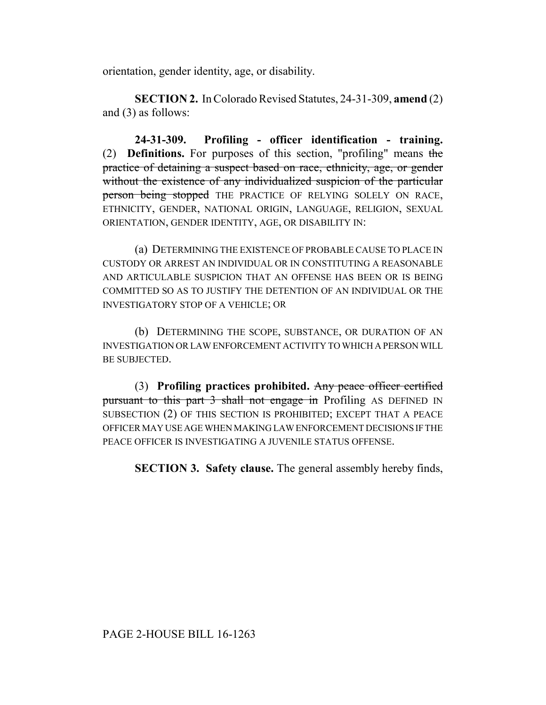orientation, gender identity, age, or disability.

**SECTION 2.** In Colorado Revised Statutes, 24-31-309, **amend** (2) and (3) as follows:

**24-31-309. Profiling - officer identification - training.** (2) **Definitions.** For purposes of this section, "profiling" means the practice of detaining a suspect based on race, ethnicity, age, or gender without the existence of any individualized suspicion of the particular person being stopped THE PRACTICE OF RELYING SOLELY ON RACE, ETHNICITY, GENDER, NATIONAL ORIGIN, LANGUAGE, RELIGION, SEXUAL ORIENTATION, GENDER IDENTITY, AGE, OR DISABILITY IN:

(a) DETERMINING THE EXISTENCE OF PROBABLE CAUSE TO PLACE IN CUSTODY OR ARREST AN INDIVIDUAL OR IN CONSTITUTING A REASONABLE AND ARTICULABLE SUSPICION THAT AN OFFENSE HAS BEEN OR IS BEING COMMITTED SO AS TO JUSTIFY THE DETENTION OF AN INDIVIDUAL OR THE INVESTIGATORY STOP OF A VEHICLE; OR

(b) DETERMINING THE SCOPE, SUBSTANCE, OR DURATION OF AN INVESTIGATION OR LAW ENFORCEMENT ACTIVITY TO WHICH A PERSON WILL BE SUBJECTED.

(3) **Profiling practices prohibited.** Any peace officer certified pursuant to this part 3 shall not engage in Profiling AS DEFINED IN SUBSECTION (2) OF THIS SECTION IS PROHIBITED; EXCEPT THAT A PEACE OFFICER MAY USE AGE WHEN MAKING LAW ENFORCEMENT DECISIONS IF THE PEACE OFFICER IS INVESTIGATING A JUVENILE STATUS OFFENSE.

**SECTION 3. Safety clause.** The general assembly hereby finds,